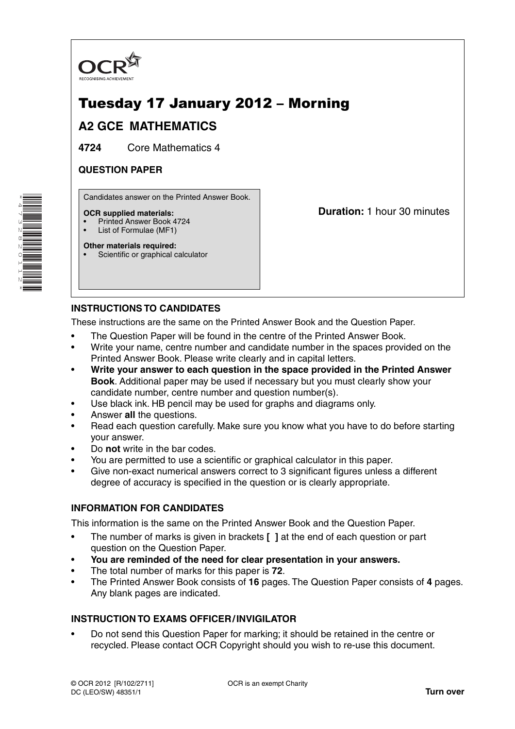

# Tuesday 17 January 2012 – Morning

## **A2 GCE MATHEMATICS**

**4724** Core Mathematics 4

### **QUESTION PAPER**

Candidates answer on the Printed Answer Book.

#### **OCR supplied materials:**

- Printed Answer Book 4724
- List of Formulae (MF1) **Other materials required:**

**Duration:** 1 hour 30 minutes

## **INSTRUCTIONS TO CANDIDATES**

Scientific or graphical calculator

These instructions are the same on the Printed Answer Book and the Question Paper.

- The Question Paper will be found in the centre of the Printed Answer Book.
- Write your name, centre number and candidate number in the spaces provided on the Printed Answer Book. Please write clearly and in capital letters.
- **Write your answer to each question in the space provided in the Printed Answer Book**. Additional paper may be used if necessary but you must clearly show your candidate number, centre number and question number(s).
- Use black ink. HB pencil may be used for graphs and diagrams only.
- Answer **all** the questions.
- Read each question carefully. Make sure you know what you have to do before starting your answer.
- Do **not** write in the bar codes.
- You are permitted to use a scientific or graphical calculator in this paper.
- Give non-exact numerical answers correct to 3 significant figures unless a different degree of accuracy is specified in the question or is clearly appropriate.

### **INFORMATION FOR CANDIDATES**

This information is the same on the Printed Answer Book and the Question Paper.

- The number of marks is given in brackets **[ ]** at the end of each question or part question on the Question Paper.
- **You are reminded of the need for clear presentation in your answers.**
- The total number of marks for this paper is **72**.
- The Printed Answer Book consists of **16** pages. The Question Paper consists of **4** pages. Any blank pages are indicated.

### **INSTRUCTION TO EXAMS OFFICER / INVIGILATOR**

• Do not send this Question Paper for marking; it should be retained in the centre or recycled. Please contact OCR Copyright should you wish to re-use this document.

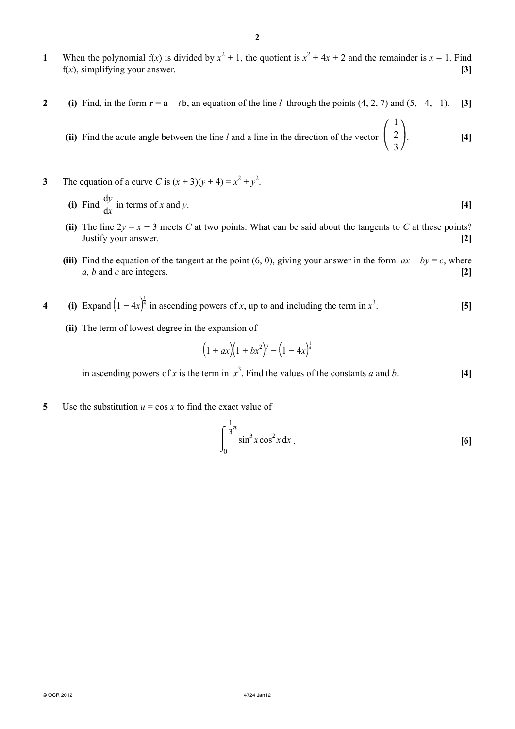- **1** When the polynomial  $f(x)$  is divided by  $x^2 + 1$ , the quotient is  $x^2 + 4x + 2$  and the remainder is  $x 1$ . Find f(*x*), simplifying your answer. **[3]**
- **2** (i) Find, in the form  $\mathbf{r} = \mathbf{a} + t\mathbf{b}$ , an equation of the line *l* through the points  $(4, 2, 7)$  and  $(5, -4, -1)$ . [3]
- **(ii)** Find the acute angle between the line  $l$  and a line in the direction of the vector  $\left($ 1 2  $\begin{pmatrix} 2 \\ 3 \end{pmatrix}$  [4]
- **3** The equation of a curve *C* is  $(x + 3)(y + 4) = x^2 + y^2$ .
- **(i)** Find  $\frac{dy}{dx}$  in terms of *x* and *y*. [4]
	- **(ii)** The line  $2y = x + 3$  meets *C* at two points. What can be said about the tangents to *C* at these points? Justify your answer. **[2]**
	- **(iii)** Find the equation of the tangent at the point (6, 0), giving your answer in the form  $ax + by = c$ , where *a, b* and *c* are integers. **[2]**
- **4** (i) Expand  $\left(1 4x\right)^{\frac{1}{4}}$  in ascending powers of *x*, up to and including the term in  $x^3$ . **[5]**
	- **(ii)** The term of lowest degree in the expansion of

$$
(1 + ax)(1 + bx^2)^7 - (1 - 4x)^{\frac{1}{4}}
$$

in ascending powers of *x* is the term in  $x^3$ . Find the values of the constants *a* and *b*. [4]

**5** Use the substitution  $u = \cos x$  to find the exact value of

$$
\int_0^{\frac{1}{3}\pi} \sin^3 x \cos^2 x \, dx
$$
 [6]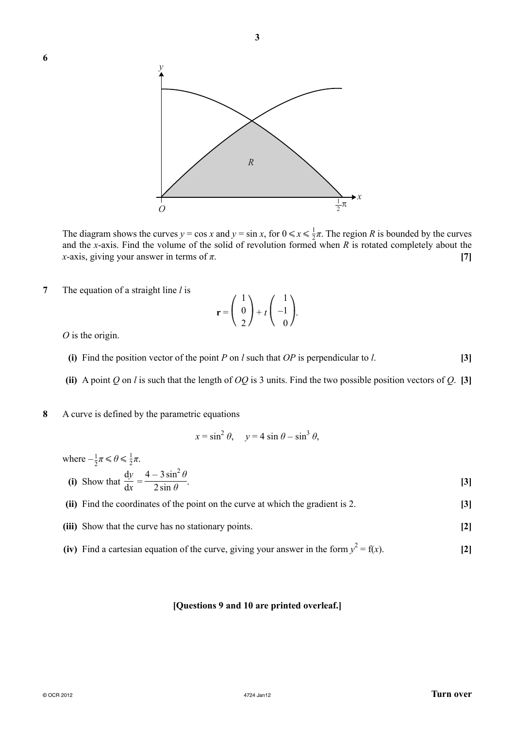

The diagram shows the curves  $y = \cos x$  and  $y = \sin x$ , for  $0 \le x \le \frac{1}{2}\pi$ . The region *R* is bounded by the curves and the *x*-axis. Find the volume of the solid of revolution formed when *R* is rotated completely about the *x*-axis, giving your answer in terms of *π*. **[7]**

**7** The equation of a straight line *l* is

$$
\mathbf{r} = \begin{pmatrix} 1 \\ 0 \\ 2 \end{pmatrix} + t \begin{pmatrix} 1 \\ -1 \\ 0 \end{pmatrix}.
$$

*O* is the origin.

- **(i)** Find the position vector of the point *P* on *l* such that *OP* is perpendicular to *l*. **[3]**
- **(ii)** A point *Q* on *l* is such that the length of *OQ* is 3 units. Find the two possible position vectors of *Q*. **[3]**
- **8** A curve is defined by the parametric equations

$$
x = \sin^2 \theta, \quad y = 4 \sin \theta - \sin^3 \theta,
$$

where  $-\frac{1}{2}\pi \le \theta \le \frac{1}{2}\pi$ .

(i) Show that 
$$
\frac{dy}{dx} = \frac{4 - 3\sin^2 \theta}{2\sin \theta}
$$
. [3]

- **(ii)** Find the coordinates of the point on the curve at which the gradient is 2. **[3]**
- **(iii)** Show that the curve has no stationary points. **[2]**
- (iv) Find a cartesian equation of the curve, giving your answer in the form  $y^2 = f(x)$ . [2]

#### **[Questions 9 and 10 are printed overleaf.]**